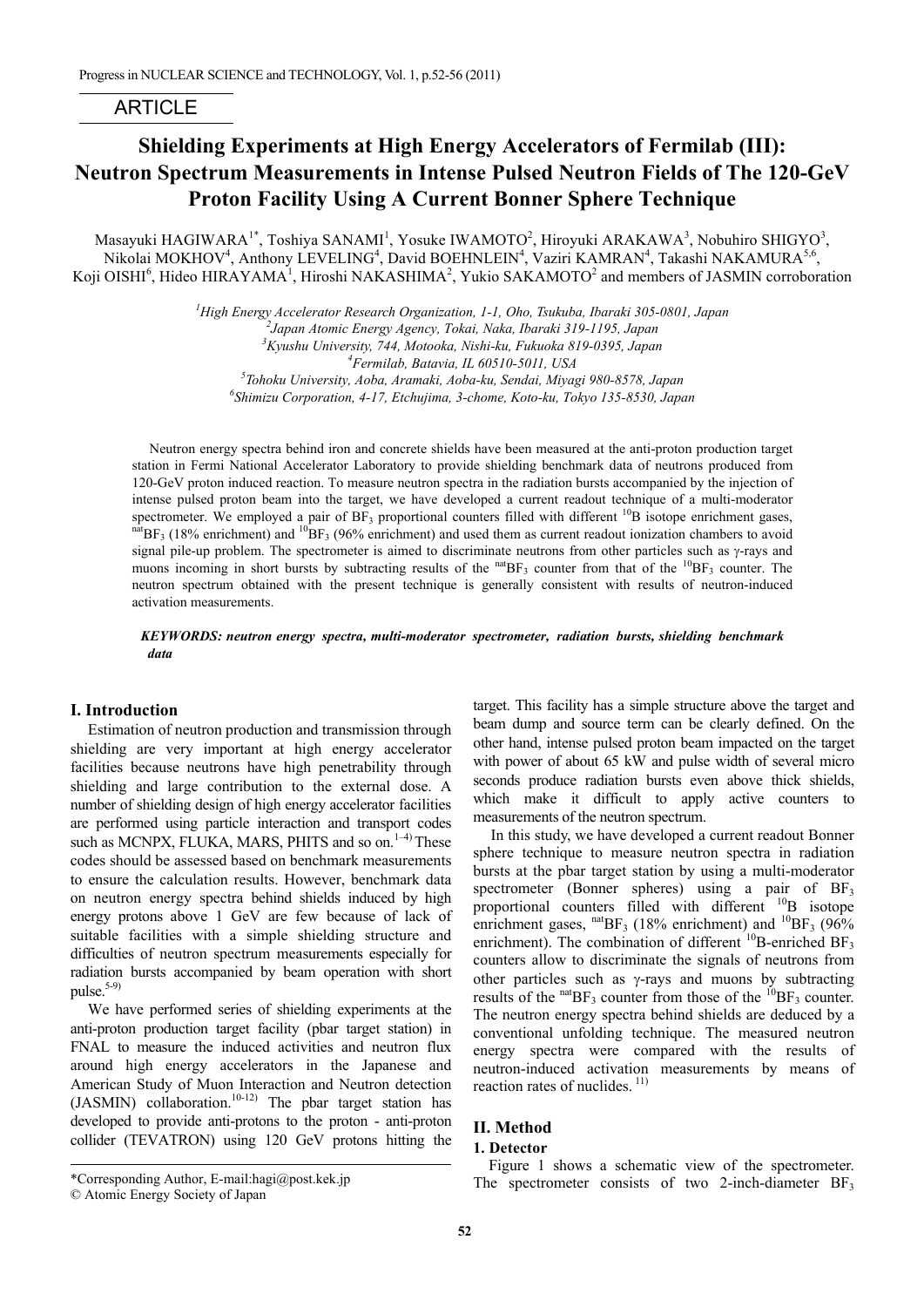# ARTICLE

# **Shielding Experiments at High Energy Accelerators of Fermilab (III): Neutron Spectrum Measurements in Intense Pulsed Neutron Fields of The 120-GeV Proton Facility Using A Current Bonner Sphere Technique**

Masayuki HAGIWARA<sup>1\*</sup>, Toshiya SANAMI<sup>1</sup>, Yosuke IWAMOTO<sup>2</sup>, Hiroyuki ARAKAWA<sup>3</sup>, Nobuhiro SHIGYO<sup>3</sup>, Nikolai MOKHOV<sup>4</sup>, Anthony LEVELING<sup>4</sup>, David BOEHNLEIN<sup>4</sup>, Vaziri KAMRAN<sup>4</sup>, Takashi NAKAMURA<sup>5,6</sup>, Koji OISHI<sup>6</sup>, Hideo HIRAYAMA<sup>1</sup>, Hiroshi NAKASHIMA<sup>2</sup>, Yukio SAKAMOTO<sup>2</sup> and members of JASMIN corroboration

> *1 High Energy Accelerator Research Organization, 1-1, Oho, Tsukuba, Ibaraki 305-0801, Japan 2 Japan Atomic Energy Agency, Tokai, Naka, Ibaraki 319-1195, Japan 3 Kyushu University, 744, Motooka, Nishi-ku, Fukuoka 819-0395, Japan 4* <sup>4</sup>Fermilab, Batavia, IL 60510-5011, USA *Tohoku University, Aoba, Aramaki, Aoba-ku, Sendai, Miyagi 980-8578, Japan 6 Shimizu Corporation, 4-17, Etchujima, 3-chome, Koto-ku, Tokyo 135-8530, Japan*

Neutron energy spectra behind iron and concrete shields have been measured at the anti-proton production target station in Fermi National Accelerator Laboratory to provide shielding benchmark data of neutrons produced from 120-GeV proton induced reaction. To measure neutron spectra in the radiation bursts accompanied by the injection of intense pulsed proton beam into the target, we have developed a current readout technique of a multi-moderator spectrometer. We employed a pair of  $BF_3$  proportional counters filled with different <sup>10</sup>B isotope enrichment gases, nat  $BF_3$  (18% enrichment) and <sup>10</sup>BF<sub>3</sub> (96% enrichment) and used them as current readout ionization c signal pile-up problem. The spectrometer is aimed to discriminate neutrons from other particles such as  $\gamma$ -rays and muons incoming in short bursts by subtracting results of the  $n_{\text{B}}$  counter from that of the  $10_{\text{B}}$ <sub>3</sub> counter. The neutron spectrum obtained with the present technique is generally consistent with results of neutron-induced activation measurements.

# *KEYWORDS: neutron energy spectra, multi-moderator spectrometer, radiation bursts, shielding benchmark data*

# **I. Introduction**

Estimation of neutron production and transmission through shielding are very important at high energy accelerator facilities because neutrons have high penetrability through shielding and large contribution to the external dose. A number of shielding design of high energy accelerator facilities are performed using particle interaction and transport codes such as MCNPX, FLUKA, MARS, PHITS and so on.<sup>1-4)</sup> These codes should be assessed based on benchmark measurements to ensure the calculation results. However, benchmark data on neutron energy spectra behind shields induced by high energy protons above 1 GeV are few because of lack of suitable facilities with a simple shielding structure and difficulties of neutron spectrum measurements especially for radiation bursts accompanied by beam operation with short pulse. $5-9$ 

We have performed series of shielding experiments at the anti-proton production target facility (pbar target station) in FNAL to measure the induced activities and neutron flux around high energy accelerators in the Japanese and American Study of Muon Interaction and Neutron detection (JASMIN) collaboration.<sup>10-12)</sup> The pbar target station has developed to provide anti-protons to the proton - anti-proton collider (TEVATRON) using 120 GeV protons hitting the

In this study, we have developed a current readout Bonner sphere technique to measure neutron spectra in radiation bursts at the pbar target station by using a multi-moderator spectrometer (Bonner spheres) using a pair of BF<sub>3</sub> proportional counters filled with different <sup>10</sup>B isotope enrichment gases,  $^{nat}BF_3$  (18% enrichment) and  $^{10}BF_3$  (96% enrichment). The combination of different  $^{10}B$ -enriched BF<sub>3</sub> counters allow to discriminate the signals of neutrons from other particles such as  $\gamma$ -rays and muons by subtracting results of the  $n_{\text{B}}$ <sup>nat</sup> $BF_3$  counter from those of the  $10BF_3$  counter. The neutron energy spectra behind shields are deduced by a conventional unfolding technique. The measured neutron energy spectra were compared with the results of neutron-induced activation measurements by means of reaction rates of nuclides.<sup>11)</sup>

# **II. Method**

## **1. Detector**

l

Figure 1 shows a schematic view of the spectrometer. The spectrometer consists of two 2-inch-diameter  $BF_3$ 

target. This facility has a simple structure above the target and beam dump and source term can be clearly defined. On the other hand, intense pulsed proton beam impacted on the target with power of about 65 kW and pulse width of several micro seconds produce radiation bursts even above thick shields, which make it difficult to apply active counters to measurements of the neutron spectrum.

<sup>\*</sup>Corresponding Author, E-mail:hagi@post.kek.jp

<sup>©</sup> Atomic Energy Society of Japan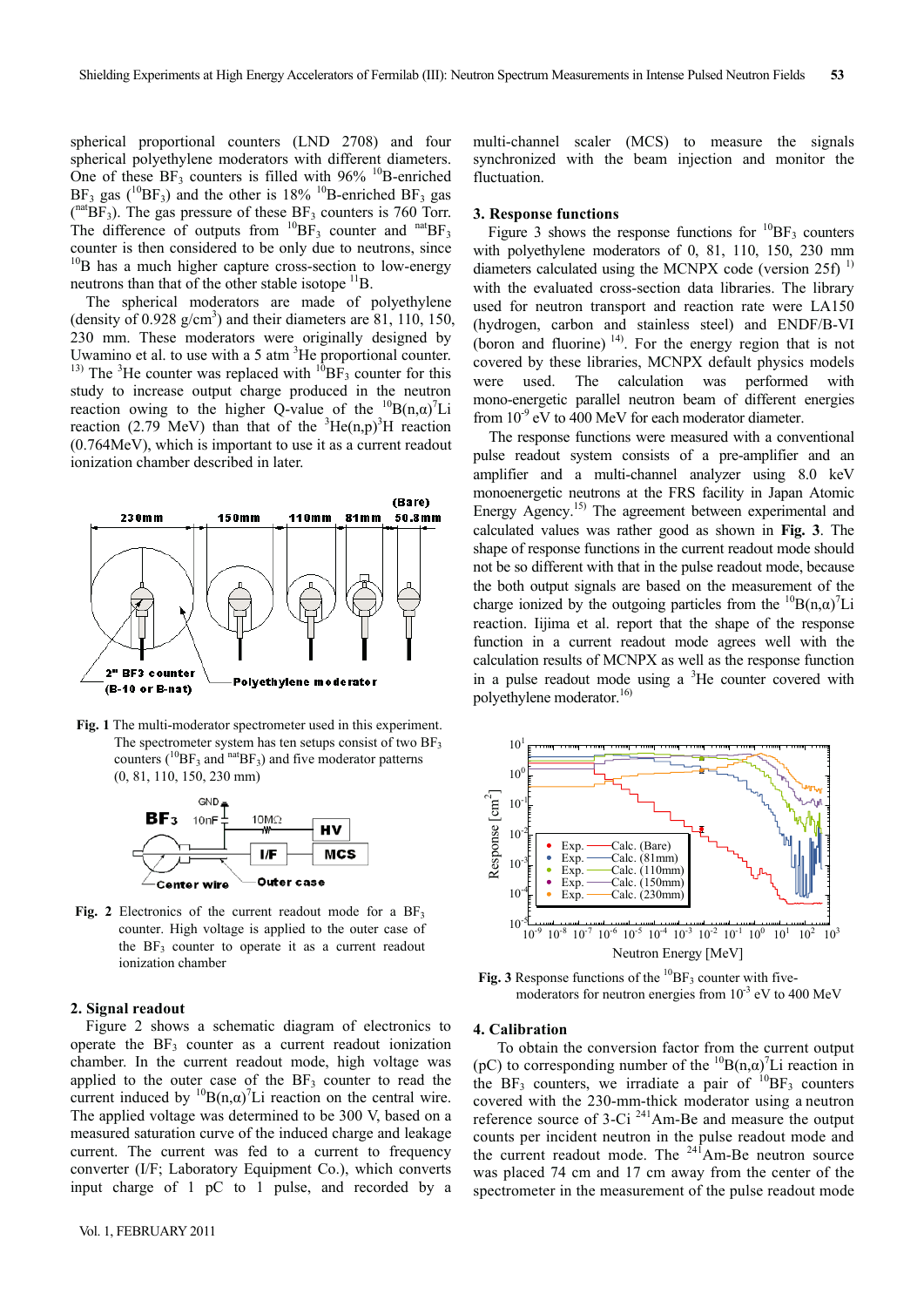spherical proportional counters (LND 2708) and four spherical polyethylene moderators with different diameters. One of these  $BF_3$  counters is filled with 96% <sup>10</sup>B-enriched  $BF_3$  gas (<sup>10</sup>BF<sub>3</sub>) and the other is 18% <sup>10</sup>B-enriched BF<sub>3</sub> gas  $({}^{nat}BF_3)$ . The gas pressure of these BF<sub>3</sub> counters is 760 Torr. The difference of outputs from  ${}^{10}BF_3$  counter and  ${}^{nat}BF_3$ counter is then considered to be only due to neutrons, since  $10B$  has a much higher capture cross-section to low-energy neutrons than that of the other stable isotope  ${}^{11}B$ .

The spherical moderators are made of polyethylene (density of  $0.928$  g/cm<sup>3</sup>) and their diameters are  $81$ ,  $110$ ,  $150$ , 230 mm. These moderators were originally designed by Uwamino et al. to use with a  $5$  atm  ${}^{3}$ He proportional counter. <sup>13)</sup> The <sup>3</sup>He counter was replaced with  ${}^{10}BF_3$  counter for this study to increase output charge produced in the neutron reaction owing to the higher Q-value of the  ${}^{10}B(n,\alpha)^7Li$ reaction (2.79 MeV) than that of the  ${}^{3}He(n,p){}^{3}H$  reaction (0.764MeV), which is important to use it as a current readout ionization chamber described in later.



**Fig. 1** The multi-moderator spectrometer used in this experiment. The spectrometer system has ten setups consist of two  $BF<sub>3</sub>$ counters ( ${}^{10}BF_3$  and  ${}^{nat}BF_3$ ) and five moderator patterns (0, 81, 110, 150, 230 mm)



Fig. 2 Electronics of the current readout mode for a  $BF_3$ counter. High voltage is applied to the outer case of the  $BF_3$  counter to operate it as a current readout ionization chamber

## **2. Signal readout**

Figure 2 shows a schematic diagram of electronics to operate the  $BF_3$  counter as a current readout ionization chamber. In the current readout mode, high voltage was applied to the outer case of the  $BF_3$  counter to read the current induced by  ${}^{10}B(n,\alpha)^7$ Li reaction on the central wire. The applied voltage was determined to be 300 V, based on a measured saturation curve of the induced charge and leakage current. The current was fed to a current to frequency converter (I/F; Laboratory Equipment Co.), which converts input charge of 1 pC to 1 pulse, and recorded by a

multi-channel scaler (MCS) to measure the signals synchronized with the beam injection and monitor the fluctuation.

#### **3. Response functions**

Figure 3 shows the response functions for  ${}^{10}BF_3$  counters with polyethylene moderators of 0, 81, 110, 150, 230 mm diameters calculated using the MCNPX code (version  $25f$ )<sup>1)</sup> with the evaluated cross-section data libraries. The library used for neutron transport and reaction rate were LA150 (hydrogen, carbon and stainless steel) and ENDF/B-VI (boron and fluorine)  $^{14}$ . For the energy region that is not covered by these libraries, MCNPX default physics models were used. The calculation was performed with mono-energetic parallel neutron beam of different energies from  $10^{-9}$  eV to 400 MeV for each moderator diameter.

The response functions were measured with a conventional pulse readout system consists of a pre-amplifier and an amplifier and a multi-channel analyzer using 8.0 keV monoenergetic neutrons at the FRS facility in Japan Atomic Energy Agency.<sup>15)</sup> The agreement between experimental and calculated values was rather good as shown in **Fig. 3**. The shape of response functions in the current readout mode should not be so different with that in the pulse readout mode, because the both output signals are based on the measurement of the charge ionized by the outgoing particles from the  ${}^{10}B(n,\alpha)^7Li$ reaction. Iijima et al. report that the shape of the response function in a current readout mode agrees well with the calculation results of MCNPX as well as the response function in a pulse readout mode using a  ${}^{3}$ He counter covered with polyethylene moderator.<sup>16)</sup>



**Fig. 3** Response functions of the  ${}^{10}BF_3$  counter with fivemoderators for neutron energies from  $10^{-3}$  eV to 400 MeV

## **4. Calibration**

To obtain the conversion factor from the current output (pC) to corresponding number of the  ${}^{10}B(n,\alpha)^7Li$  reaction in the BF<sub>3</sub> counters, we irradiate a pair of  $^{10}$ BF<sub>3</sub> counters covered with the 230-mm-thick moderator using a neutron reference source of 3-Ci 241Am-Be and measure the output counts per incident neutron in the pulse readout mode and the current readout mode. The  $24<sup>1</sup>$ Am-Be neutron source was placed 74 cm and 17 cm away from the center of the spectrometer in the measurement of the pulse readout mode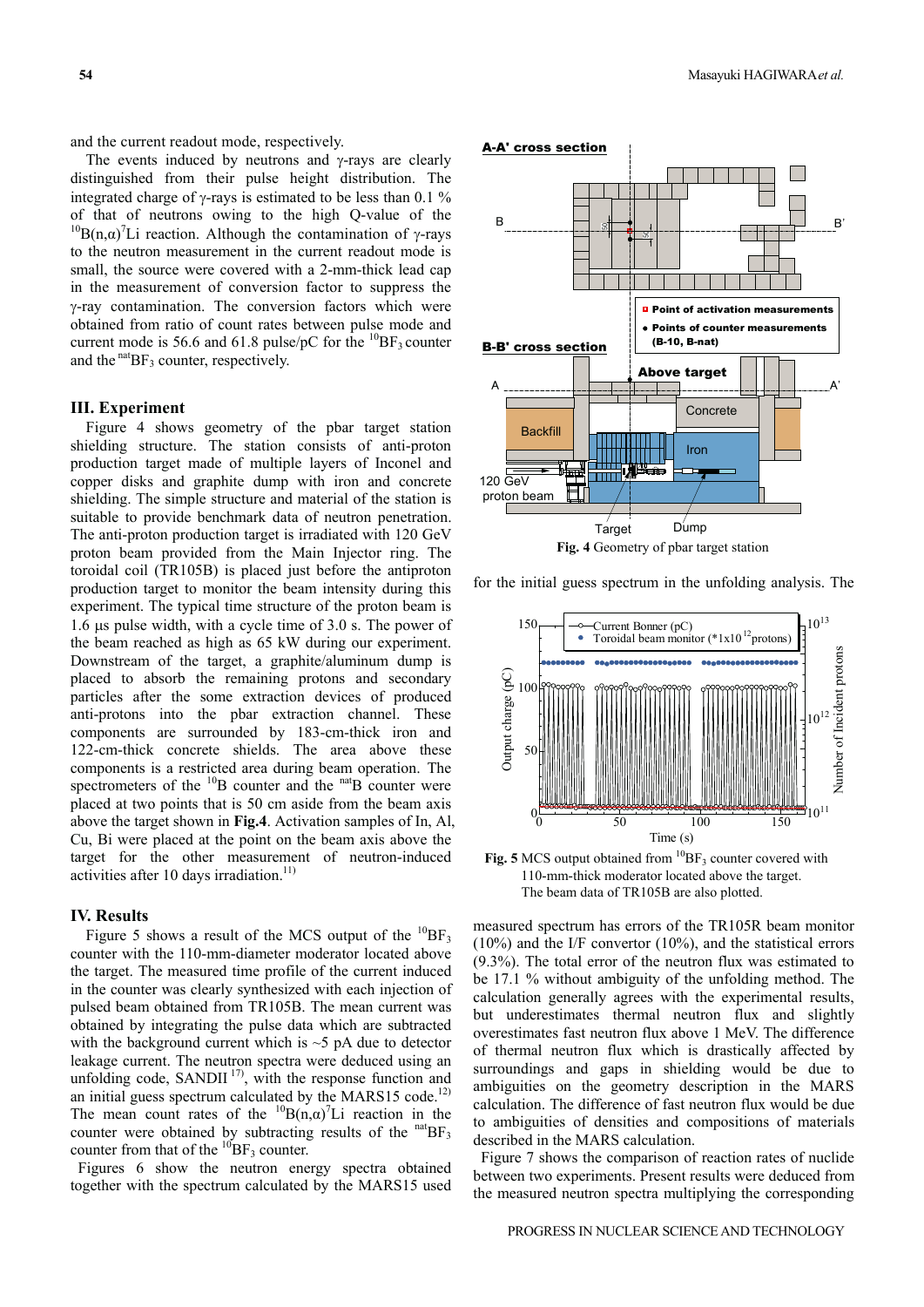and the current readout mode, respectively.

The events induced by neutrons and  $\gamma$ -rays are clearly distinguished from their pulse height distribution. The integrated charge of  $\gamma$ -rays is estimated to be less than 0.1 % of that of neutrons owing to the high Q-value of the <sup>10</sup>B(n, $\alpha$ )<sup>7</sup>Li reaction. Although the contamination of  $\gamma$ -rays to the neutron measurement in the current readout mode is small, the source were covered with a 2-mm-thick lead cap in the measurement of conversion factor to suppress the  $\gamma$ -ray contamination. The conversion factors which were obtained from ratio of count rates between pulse mode and current mode is 56.6 and 61.8 pulse/pC for the  $^{10}BF_3$  counter and the  $n_{\text{B}}$ <sub>3</sub> counter, respectively.

# **III. Experiment**

Figure 4 shows geometry of the pbar target station shielding structure. The station consists of anti-proton production target made of multiple layers of Inconel and copper disks and graphite dump with iron and concrete shielding. The simple structure and material of the station is suitable to provide benchmark data of neutron penetration. The anti-proton production target is irradiated with 120 GeV proton beam provided from the Main Injector ring. The toroidal coil (TR105B) is placed just before the antiproton production target to monitor the beam intensity during this experiment. The typical time structure of the proton beam is 1.6  $\mu$ s pulse width, with a cycle time of 3.0 s. The power of the beam reached as high as 65 kW during our experiment. Downstream of the target, a graphite/aluminum dump is placed to absorb the remaining protons and secondary particles after the some extraction devices of produced anti-protons into the pbar extraction channel. These components are surrounded by 183-cm-thick iron and 122-cm-thick concrete shields. The area above these components is a restricted area during beam operation. The spectrometers of the  $^{10}B$  counter and the  $^{nat}B$  counter were placed at two points that is 50 cm aside from the beam axis above the target shown in **Fig.4**. Activation samples of In, Al, Cu, Bi were placed at the point on the beam axis above the target for the other measurement of neutron-induced activities after 10 days irradiation. $11)$ 

# **IV. Results**

Figure 5 shows a result of the MCS output of the  ${}^{10}BF_3$ counter with the 110-mm-diameter moderator located above the target. The measured time profile of the current induced in the counter was clearly synthesized with each injection of pulsed beam obtained from TR105B. The mean current was obtained by integrating the pulse data which are subtracted with the background current which is  $\sim$  5 pA due to detector leakage current. The neutron spectra were deduced using an unfolding code, SANDII $17$ , with the response function and an initial guess spectrum calculated by the MARS15 code.<sup>12)</sup> The mean count rates of the  ${}^{10}B(n,\alpha)^7Li$  reaction in the counter were obtained by subtracting results of the  $\text{nat}_{BF_3}$ counter from that of the  $^{10}BF_3$  counter.

Figures 6 show the neutron energy spectra obtained together with the spectrum calculated by the MARS15 used



for the initial guess spectrum in the unfolding analysis. The



**Fig. 5** MCS output obtained from  ${}^{10}BF_3$  counter covered with 110-mm-thick moderator located above the target. The beam data of TR105B are also plotted.

measured spectrum has errors of the TR105R beam monitor (10%) and the I/F convertor (10%), and the statistical errors (9.3%). The total error of the neutron flux was estimated to be 17.1 % without ambiguity of the unfolding method. The calculation generally agrees with the experimental results, but underestimates thermal neutron flux and slightly overestimates fast neutron flux above 1 MeV. The difference of thermal neutron flux which is drastically affected by surroundings and gaps in shielding would be due to ambiguities on the geometry description in the MARS calculation. The difference of fast neutron flux would be due to ambiguities of densities and compositions of materials described in the MARS calculation.

Figure 7 shows the comparison of reaction rates of nuclide between two experiments. Present results were deduced from the measured neutron spectra multiplying the corresponding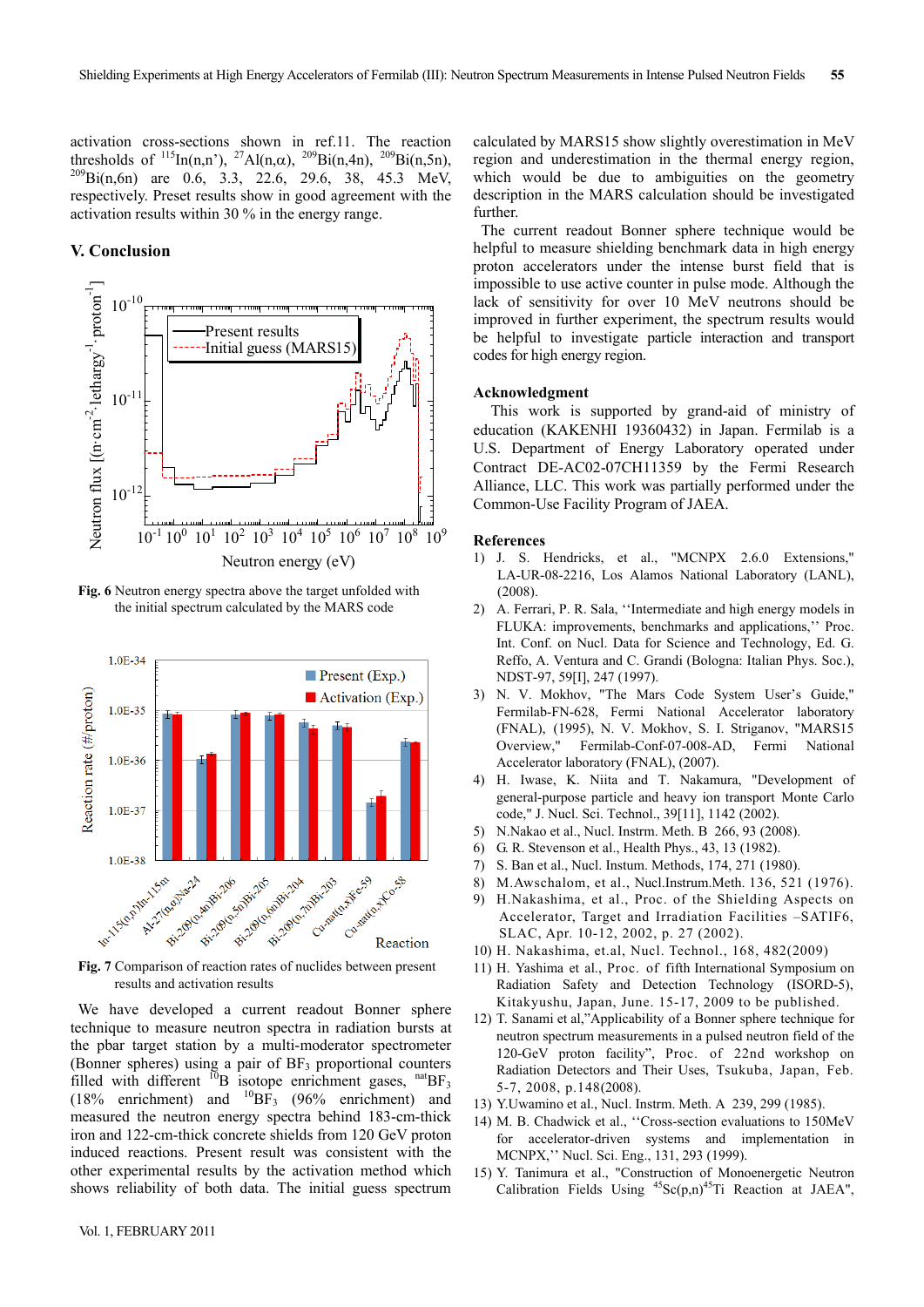activation cross-sections shown in ref.11. The reaction thresholds of  $^{115}$ In(n,n),  $^{27}$ Al(n, $\alpha$ ),  $^{209}$ Bi(n,4n),  $^{209}$ Bi(n,5n),  $t^{209} \text{Bi}(n,6n)$  are 0.6, 3.3, 22.6, 29.6, 38, 45.3 MeV, respectively. Preset results show in good agreement with the activation results within 30 % in the energy range.

## **V. Conclusion**



**Fig. 6** Neutron energy spectra above the target unfolded with the initial spectrum calculated by the MARS code



**Fig. 7** Comparison of reaction rates of nuclides between present results and activation results

We have developed a current readout Bonner sphere technique to measure neutron spectra in radiation bursts at the pbar target station by a multi-moderator spectrometer (Bonner spheres) using a pair of  $BF_3$  proportional counters filled with different  $^{10}B$  isotope enrichment gases,  $^{nat}BF_3$ (18% enrichment) and  $^{10}BF_3$  (96% enrichment) and measured the neutron energy spectra behind 183-cm-thick iron and 122-cm-thick concrete shields from 120 GeV proton induced reactions. Present result was consistent with the other experimental results by the activation method which shows reliability of both data. The initial guess spectrum calculated by MARS15 show slightly overestimation in MeV region and underestimation in the thermal energy region, which would be due to ambiguities on the geometry description in the MARS calculation should be investigated further.

The current readout Bonner sphere technique would be helpful to measure shielding benchmark data in high energy proton accelerators under the intense burst field that is impossible to use active counter in pulse mode. Although the lack of sensitivity for over 10 MeV neutrons should be improved in further experiment, the spectrum results would be helpful to investigate particle interaction and transport codes for high energy region.

### **Acknowledgment**

This work is supported by grand-aid of ministry of education (KAKENHI 19360432) in Japan. Fermilab is a U.S. Department of Energy Laboratory operated under Contract DE-AC02-07CH11359 by the Fermi Research Alliance, LLC. This work was partially performed under the Common-Use Facility Program of JAEA.

# **References**

- 1) J. S. Hendricks, et al., "MCNPX 2.6.0 Extensions," LA-UR-08-2216, Los Alamos National Laboratory (LANL), (2008).
- 2) A. Ferrari, P. R. Sala, ''Intermediate and high energy models in FLUKA: improvements, benchmarks and applications,'' Proc. Int. Conf. on Nucl. Data for Science and Technology, Ed. G. Reffo, A. Ventura and C. Grandi (Bologna: Italian Phys. Soc.), NDST-97, 59[I], 247 (1997).
- 3) N. V. Mokhov, "The Mars Code System User's Guide," Fermilab-FN-628, Fermi National Accelerator laboratory (FNAL), (1995), N. V. Mokhov, S. I. Striganov, "MARS15 Overview," Fermilab-Conf-07-008-AD, Fermi National Accelerator laboratory (FNAL), (2007).
- 4) H. Iwase, K. Niita and T. Nakamura, "Development of general-purpose particle and heavy ion transport Monte Carlo code," J. Nucl. Sci. Technol., 39[11], 1142 (2002).
- 5) N.Nakao et al., Nucl. Instrm. Meth. B 266, 93 (2008).
- 6) G. R. Stevenson et al., Health Phys., 43, 13 (1982).
- 7) S. Ban et al., Nucl. Instum. Methods, 174, 271 (1980).
- 8) M.Awschalom, et al., Nucl.Instrum.Meth. 136, 521 (1976).
- 9) H.Nakashima, et al., Proc. of the Shielding Aspects on Accelerator, Target and Irradiation Facilities –SATIF6, SLAC, Apr. 10-12, 2002, p. 27 (2002).
- 10) H. Nakashima, et.al, Nucl. Technol., 168, 482(2009)
- 11) H. Yashima et al., Proc. of fifth International Symposium on Radiation Safety and Detection Technology (ISORD-5), Kitakyushu, Japan, June. 15-17, 2009 to be published.
- 12) T. Sanami et al,"Applicability of a Bonner sphere technique for neutron spectrum measurements in a pulsed neutron field of the 120-GeV proton facility", Proc. of 22nd workshop on Radiation Detectors and Their Uses, Tsukuba, Japan, Feb. 5-7, 2008, p.148(2008).
- 13) Y.Uwamino et al., Nucl. Instrm. Meth. A 239, 299 (1985).
- 14) M. B. Chadwick et al., ''Cross-section evaluations to 150MeV for accelerator-driven systems and implementation in MCNPX,'' Nucl. Sci. Eng., 131, 293 (1999).
- 15) Y. Tanimura et al., "Construction of Monoenergetic Neutron Calibration Fields Using  ${}^{45}Sc(p,n){}^{45}Ti$  Reaction at JAEA",